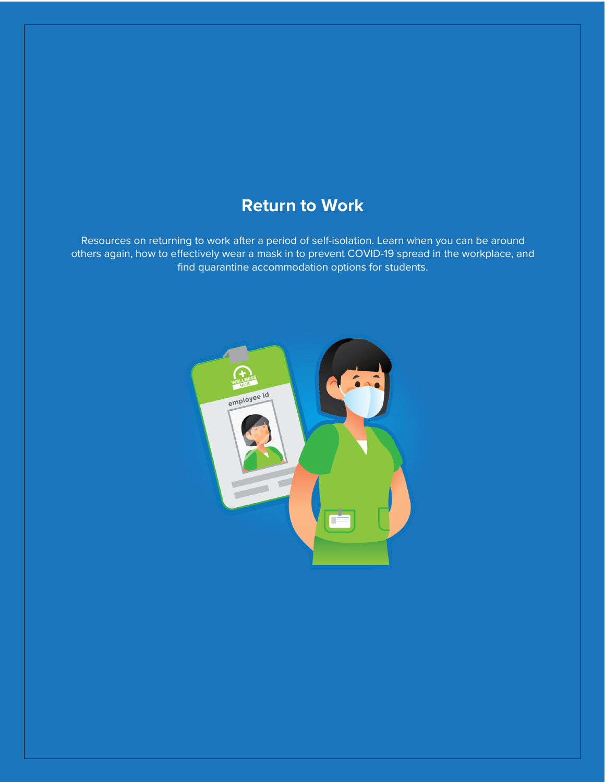# **Return to Work**

Resources on returning to work after a period of self-isolation. Learn when you can be around others again, how to effectively wear a mask in to prevent COVID-19 spread in the workplace, and find quarantine accommodation options for students.